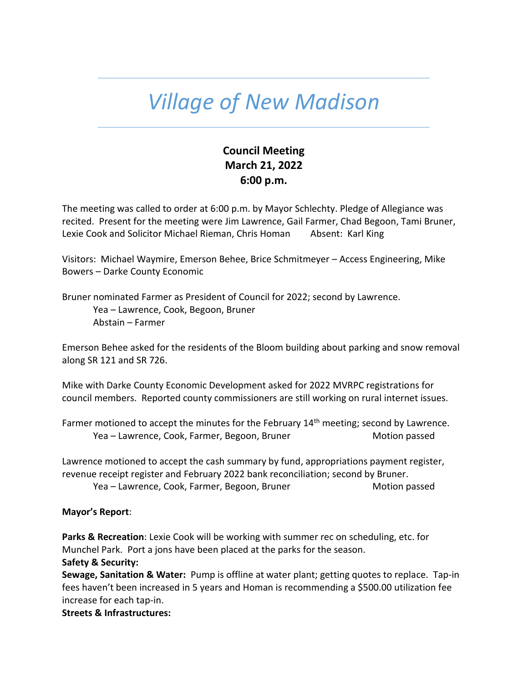## *Village of New Madison*

## **Council Meeting March 21, 2022 6:00 p.m.**

The meeting was called to order at 6:00 p.m. by Mayor Schlechty. Pledge of Allegiance was recited. Present for the meeting were Jim Lawrence, Gail Farmer, Chad Begoon, Tami Bruner, Lexie Cook and Solicitor Michael Rieman, Chris Homan Absent: Karl King

Visitors: Michael Waymire, Emerson Behee, Brice Schmitmeyer – Access Engineering, Mike Bowers – Darke County Economic

Bruner nominated Farmer as President of Council for 2022; second by Lawrence. Yea – Lawrence, Cook, Begoon, Bruner Abstain – Farmer

Emerson Behee asked for the residents of the Bloom building about parking and snow removal along SR 121 and SR 726.

Mike with Darke County Economic Development asked for 2022 MVRPC registrations for council members. Reported county commissioners are still working on rural internet issues.

Farmer motioned to accept the minutes for the February  $14<sup>th</sup>$  meeting; second by Lawrence. Yea – Lawrence, Cook, Farmer, Begoon, Bruner Motion passed

Lawrence motioned to accept the cash summary by fund, appropriations payment register, revenue receipt register and February 2022 bank reconciliation; second by Bruner. Yea – Lawrence, Cook, Farmer, Begoon, Bruner Motion passed Motion passed

## **Mayor's Report**:

**Parks & Recreation**: Lexie Cook will be working with summer rec on scheduling, etc. for Munchel Park. Port a jons have been placed at the parks for the season.

## **Safety & Security:**

**Sewage, Sanitation & Water:** Pump is offline at water plant; getting quotes to replace. Tap-in fees haven't been increased in 5 years and Homan is recommending a \$500.00 utilization fee increase for each tap-in.

**Streets & Infrastructures:**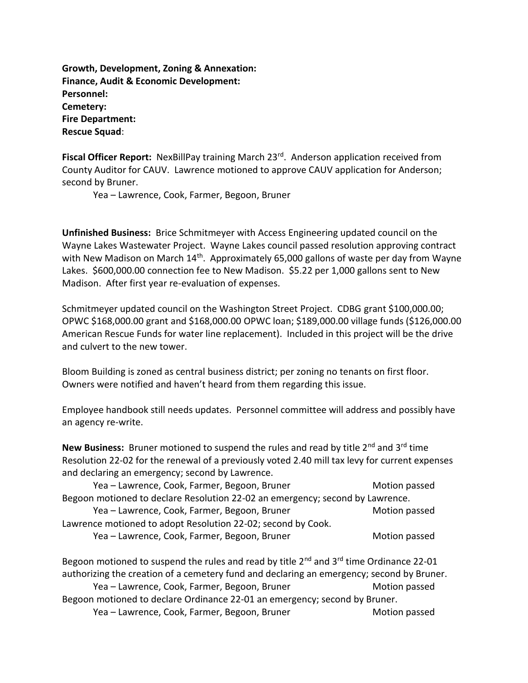**Growth, Development, Zoning & Annexation: Finance, Audit & Economic Development: Personnel: Cemetery: Fire Department: Rescue Squad**:

Fiscal Officer Report: NexBillPay training March 23<sup>rd</sup>. Anderson application received from County Auditor for CAUV. Lawrence motioned to approve CAUV application for Anderson; second by Bruner.

Yea – Lawrence, Cook, Farmer, Begoon, Bruner

**Unfinished Business:** Brice Schmitmeyer with Access Engineering updated council on the Wayne Lakes Wastewater Project. Wayne Lakes council passed resolution approving contract with New Madison on March 14<sup>th</sup>. Approximately 65,000 gallons of waste per day from Wayne Lakes. \$600,000.00 connection fee to New Madison. \$5.22 per 1,000 gallons sent to New Madison. After first year re-evaluation of expenses.

Schmitmeyer updated council on the Washington Street Project. CDBG grant \$100,000.00; OPWC \$168,000.00 grant and \$168,000.00 OPWC loan; \$189,000.00 village funds (\$126,000.00 American Rescue Funds for water line replacement). Included in this project will be the drive and culvert to the new tower.

Bloom Building is zoned as central business district; per zoning no tenants on first floor. Owners were notified and haven't heard from them regarding this issue.

Employee handbook still needs updates. Personnel committee will address and possibly have an agency re-write.

New Business: Bruner motioned to suspend the rules and read by title 2<sup>nd</sup> and 3<sup>rd</sup> time Resolution 22-02 for the renewal of a previously voted 2.40 mill tax levy for current expenses and declaring an emergency; second by Lawrence.

| Yea - Lawrence, Cook, Farmer, Begoon, Bruner                                  | Motion passed |  |
|-------------------------------------------------------------------------------|---------------|--|
| Begoon motioned to declare Resolution 22-02 an emergency; second by Lawrence. |               |  |
| Yea - Lawrence, Cook, Farmer, Begoon, Bruner                                  | Motion passed |  |
| Lawrence motioned to adopt Resolution 22-02; second by Cook.                  |               |  |
| Yea - Lawrence, Cook, Farmer, Begoon, Bruner                                  | Motion passed |  |

Begoon motioned to suspend the rules and read by title  $2^{nd}$  and  $3^{rd}$  time Ordinance 22-01 authorizing the creation of a cemetery fund and declaring an emergency; second by Bruner. Yea – Lawrence, Cook, Farmer, Begoon, Bruner Motion passed Motion passed Begoon motioned to declare Ordinance 22-01 an emergency; second by Bruner. Yea – Lawrence, Cook, Farmer, Begoon, Bruner Motion passed